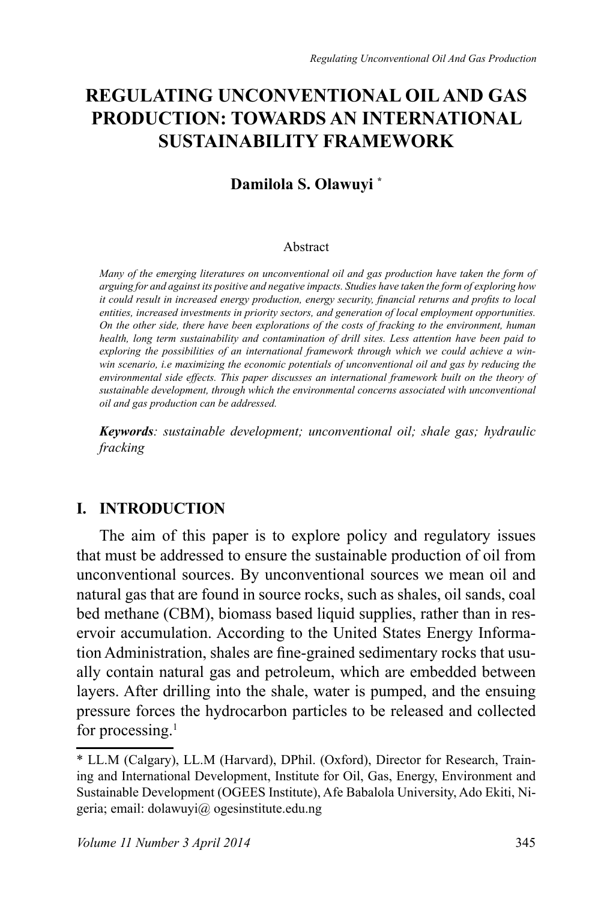# **REGULATING UNCONVENTIONAL OIL AND GAS PRODUCTION: TOWARDS AN INTERNATIONAL SUSTAINABILITY FRAMEWORK**

## **Damilola S. Olawuyi \***

#### Abstract

*Many of the emerging literatures on unconventional oil and gas production have taken the form of arguing for and against its positive and negative impacts. Studies have taken the form of exploring how it could result in increased energy production, energy security, financial returns and profits to local entities, increased investments in priority sectors, and generation of local employment opportunities. On the other side, there have been explorations of the costs of fracking to the environment, human health, long term sustainability and contamination of drill sites. Less attention have been paid to exploring the possibilities of an international framework through which we could achieve a winwin scenario, i.e maximizing the economic potentials of unconventional oil and gas by reducing the environmental side effects. This paper discusses an international framework built on the theory of sustainable development, through which the environmental concerns associated with unconventional oil and gas production can be addressed.* 

*Keywords: sustainable development; unconventional oil; shale gas; hydraulic fracking*

## **I. INTRODUCTION**

The aim of this paper is to explore policy and regulatory issues that must be addressed to ensure the sustainable production of oil from unconventional sources. By unconventional sources we mean oil and natural gas that are found in source rocks, such as shales, oil sands, coal bed methane (CBM), biomass based liquid supplies, rather than in reservoir accumulation. According to the United States Energy Information Administration, shales are fine-grained sedimentary rocks that usually contain natural gas and petroleum, which are embedded between layers. After drilling into the shale, water is pumped, and the ensuing pressure forces the hydrocarbon particles to be released and collected for processing. $1$ 

<sup>\*</sup> LL.M (Calgary), LL.M (Harvard), DPhil. (Oxford), Director for Research, Training and International Development, Institute for Oil, Gas, Energy, Environment and Sustainable Development (OGEES Institute), Afe Babalola University, Ado Ekiti, Nigeria; email: dolawuyi@ ogesinstitute.edu.ng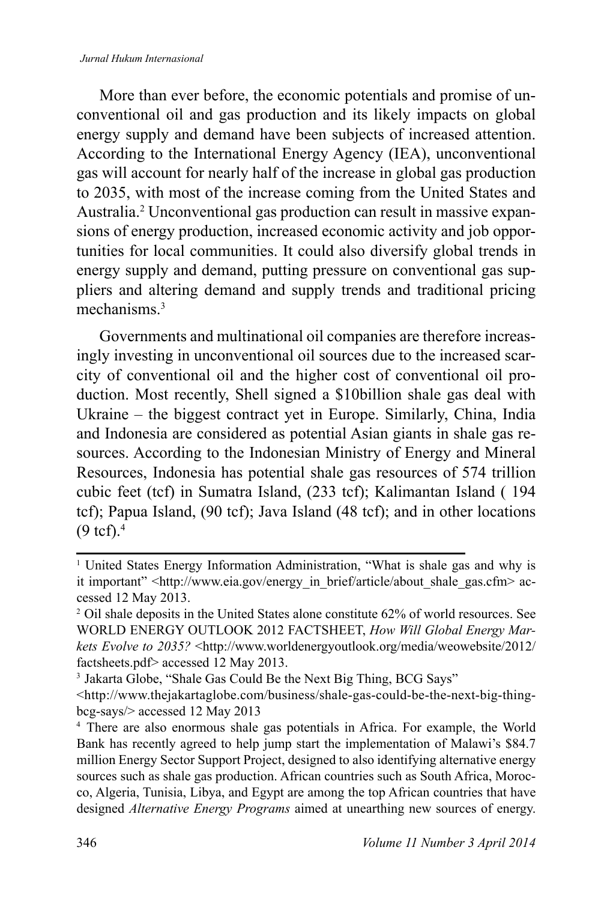#### *Jurnal Hukum Internasional*

More than ever before, the economic potentials and promise of unconventional oil and gas production and its likely impacts on global energy supply and demand have been subjects of increased attention. According to the International Energy Agency (IEA), unconventional gas will account for nearly half of the increase in global gas production to 2035, with most of the increase coming from the United States and Australia.<sup>2</sup> Unconventional gas production can result in massive expansions of energy production, increased economic activity and job opportunities for local communities. It could also diversify global trends in energy supply and demand, putting pressure on conventional gas suppliers and altering demand and supply trends and traditional pricing mechanisms<sup>3</sup>

Governments and multinational oil companies are therefore increasingly investing in unconventional oil sources due to the increased scarcity of conventional oil and the higher cost of conventional oil production. Most recently, Shell signed a \$10billion shale gas deal with Ukraine – the biggest contract yet in Europe. Similarly, China, India and Indonesia are considered as potential Asian giants in shale gas resources. According to the Indonesian Ministry of Energy and Mineral Resources, Indonesia has potential shale gas resources of 574 trillion cubic feet (tcf) in Sumatra Island, (233 tcf); Kalimantan Island ( 194 tcf); Papua Island, (90 tcf); Java Island (48 tcf); and in other locations  $(9 \text{ tcf.})^{4}$ 

<sup>&</sup>lt;sup>1</sup> United States Energy Information Administration, "What is shale gas and why is it important" <http://www.eia.gov/energy\_in\_brief/article/about\_shale\_gas.cfm> accessed 12 May 2013.

<sup>&</sup>lt;sup>2</sup> Oil shale deposits in the United States alone constitute 62% of world resources. See WORLD ENERGY OUTLOOK 2012 FACTSHEET, *How Will Global Energy Markets Evolve to 2035?* <http://www.worldenergyoutlook.org/media/weowebsite/2012/ factsheets.pdf> accessed 12 May 2013.

<sup>&</sup>lt;sup>3</sup> Jakarta Globe, "Shale Gas Could Be the Next Big Thing, BCG Says"

<sup>&</sup>lt;http://www.thejakartaglobe.com/business/shale-gas-could-be-the-next-big-thingbcg-says/> accessed 12 May 2013

<sup>4</sup>There are also enormous shale gas potentials in Africa. For example, the World Bank has recently agreed to help jump start the implementation of Malawi's \$84.7 million Energy Sector Support Project, designed to also identifying alternative energy sources such as shale gas production. African countries such as South Africa, Morocco, Algeria, Tunisia, Libya, and Egypt are among the top African countries that have designed *Alternative Energy Programs* aimed at unearthing new sources of energy.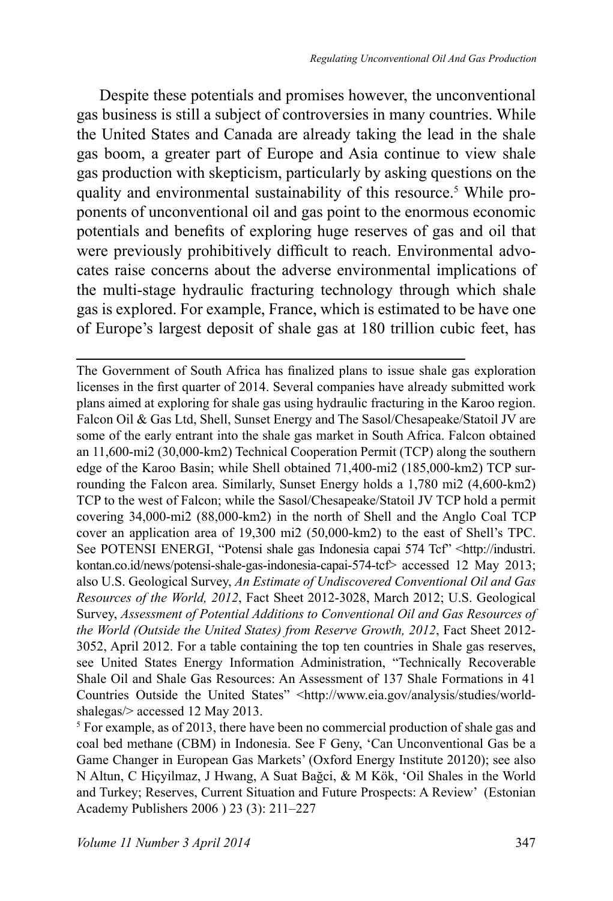Despite these potentials and promises however, the unconventional gas business is still a subject of controversies in many countries. While the United States and Canada are already taking the lead in the shale gas boom, a greater part of Europe and Asia continue to view shale gas production with skepticism, particularly by asking questions on the quality and environmental sustainability of this resource.<sup>5</sup> While proponents of unconventional oil and gas point to the enormous economic potentials and benefits of exploring huge reserves of gas and oil that were previously prohibitively difficult to reach. Environmental advocates raise concerns about the adverse environmental implications of the multi-stage hydraulic fracturing technology through which shale gas is explored. For example, France, which is estimated to be have one of Europe's largest deposit of shale gas at 180 trillion cubic feet, has

The Government of South Africa has finalized plans to issue shale gas exploration licenses in the first quarter of 2014. Several companies have already submitted work plans aimed at exploring for shale gas using hydraulic fracturing in the Karoo region. Falcon Oil & Gas Ltd, Shell, Sunset Energy and The Sasol/Chesapeake/Statoil JV are some of the early entrant into the shale gas market in South Africa. Falcon obtained an 11,600-mi2 (30,000-km2) Technical Cooperation Permit (TCP) along the southern edge of the Karoo Basin; while Shell obtained 71,400-mi2 (185,000-km2) TCP surrounding the Falcon area. Similarly, Sunset Energy holds a 1,780 mi2 (4,600-km2) TCP to the west of Falcon; while the Sasol/Chesapeake/Statoil JV TCP hold a permit covering 34,000-mi2 (88,000-km2) in the north of Shell and the Anglo Coal TCP cover an application area of 19,300 mi2 (50,000-km2) to the east of Shell's TPC. See POTENSI ENERGI, "Potensi shale gas Indonesia capai 574 Tcf" <http://industri. kontan.co.id/news/potensi-shale-gas-indonesia-capai-574-tcf> accessed 12 May 2013; also U.S. Geological Survey, *An Estimate of Undiscovered Conventional Oil and Gas Resources of the World, 2012*, Fact Sheet 2012-3028, March 2012; U.S. Geological Survey, *Assessment of Potential Additions to Conventional Oil and Gas Resources of the World (Outside the United States) from Reserve Growth, 2012*, Fact Sheet 2012- 3052, April 2012. For a table containing the top ten countries in Shale gas reserves, see United States Energy Information Administration, "Technically Recoverable Shale Oil and Shale Gas Resources: An Assessment of 137 Shale Formations in 41 Countries Outside the United States" <http://www.eia.gov/analysis/studies/worldshalegas/> accessed 12 May 2013.

<sup>&</sup>lt;sup>5</sup> For example, as of 2013, there have been no commercial production of shale gas and coal bed methane (CBM) in Indonesia. See F Geny, 'Can Unconventional Gas be a Game Changer in European Gas Markets' (Oxford Energy Institute 20120); see also N Altun, C Hiçyilmaz, J Hwang, A Suat Bağci, & M Kök, 'Oil Shales in the World and Turkey; Reserves, Current Situation and Future Prospects: A Review' (Estonian Academy Publishers 2006 ) 23 (3): 211–227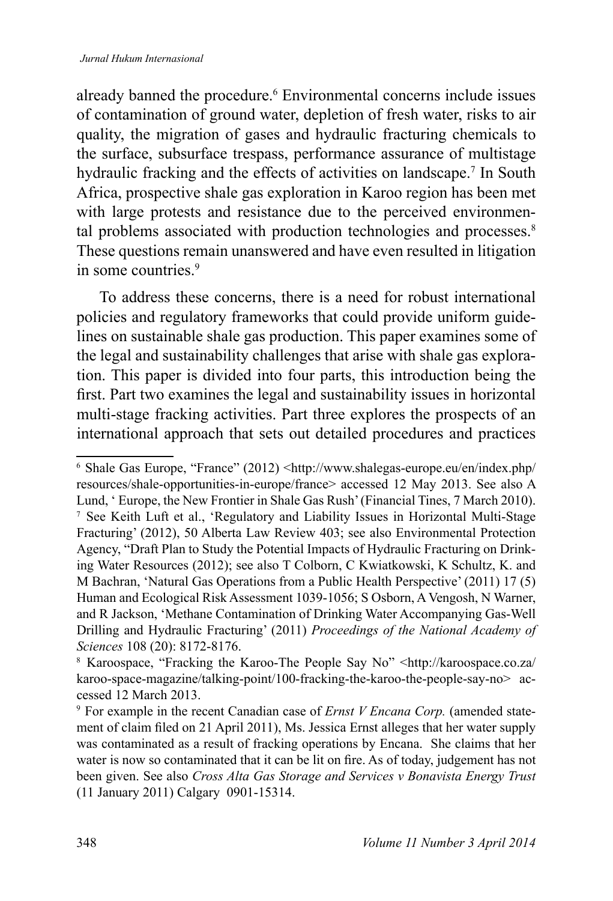#### *Jurnal Hukum Internasional*

already banned the procedure.<sup>6</sup> Environmental concerns include issues of contamination of ground water, depletion of fresh water, risks to air quality, the migration of gases and hydraulic fracturing chemicals to the surface, subsurface trespass, performance assurance of multistage hydraulic fracking and the effects of activities on landscape.<sup>7</sup> In South Africa, prospective shale gas exploration in Karoo region has been met with large protests and resistance due to the perceived environmental problems associated with production technologies and processes.<sup>8</sup> These questions remain unanswered and have even resulted in litigation in some countries. $9$ 

To address these concerns, there is a need for robust international policies and regulatory frameworks that could provide uniform guidelines on sustainable shale gas production. This paper examines some of the legal and sustainability challenges that arise with shale gas exploration. This paper is divided into four parts, this introduction being the first. Part two examines the legal and sustainability issues in horizontal multi-stage fracking activities. Part three explores the prospects of an international approach that sets out detailed procedures and practices

<sup>6</sup>Shale Gas Europe, "France" (2012) <http://www.shalegas-europe.eu/en/index.php/ resources/shale-opportunities-in-europe/france> accessed 12 May 2013. See also A Lund, ' Europe, the New Frontier in Shale Gas Rush' (Financial Tines, 7 March 2010). <sup>7</sup>See Keith Luft et al., 'Regulatory and Liability Issues in Horizontal Multi-Stage Fracturing' (2012), 50 Alberta Law Review 403; see also Environmental Protection Agency, "Draft Plan to Study the Potential Impacts of Hydraulic Fracturing on Drinking Water Resources (2012); see also T Colborn, C Kwiatkowski, K Schultz, K. and M Bachran, 'Natural Gas Operations from a Public Health Perspective' (2011) 17 (5) Human and Ecological Risk Assessment 1039-1056; S Osborn, A Vengosh, N Warner, and R Jackson, 'Methane Contamination of Drinking Water Accompanying Gas-Well Drilling and Hydraulic Fracturing' (2011) *Proceedings of the National Academy of Sciences* 108 (20): 8172-8176.

<sup>8</sup>Karoospace, "Fracking the Karoo-The People Say No" <http://karoospace.co.za/ karoo-space-magazine/talking-point/100-fracking-the-karoo-the-people-say-no> accessed 12 March 2013.

<sup>9</sup> For example in the recent Canadian case of *Ernst V Encana Corp.* (amended statement of claim filed on 21 April 2011), Ms. Jessica Ernst alleges that her water supply was contaminated as a result of fracking operations by Encana. She claims that her water is now so contaminated that it can be lit on fire. As of today, judgement has not been given. See also *Cross Alta Gas Storage and Services v Bonavista Energy Trust* (11 January 2011) Calgary 0901-15314.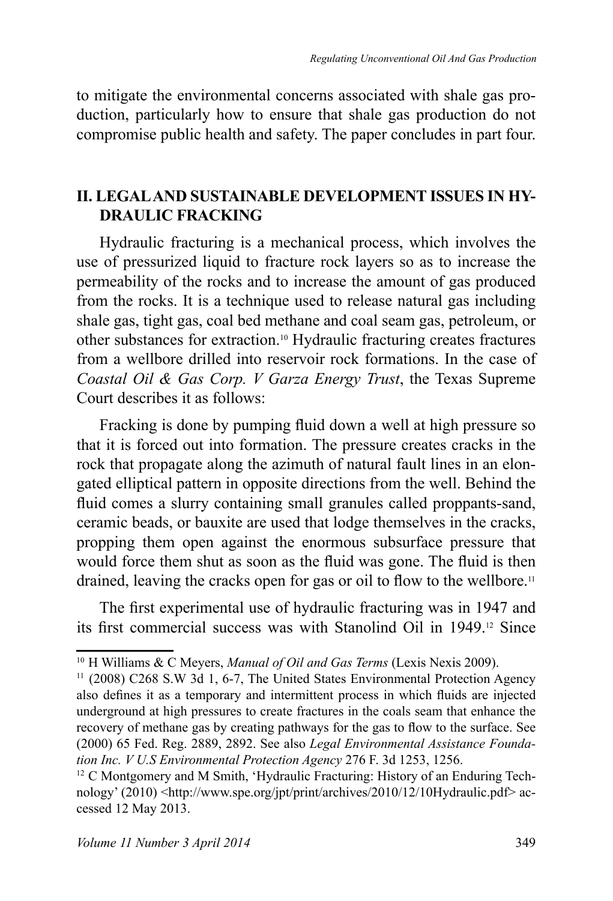to mitigate the environmental concerns associated with shale gas production, particularly how to ensure that shale gas production do not compromise public health and safety. The paper concludes in part four.

#### **II. LEGAL AND SUSTAINABLE DEVELOPMENT ISSUES IN HY-DRAULIC FRACKING**

Hydraulic fracturing is a mechanical process, which involves the use of pressurized liquid to fracture rock layers so as to increase the permeability of the rocks and to increase the amount of gas produced from the rocks. It is a technique used to release natural gas including shale gas, tight gas, coal bed methane and coal seam gas, petroleum, or other substances for extraction.10 Hydraulic fracturing creates fractures from a wellbore drilled into reservoir rock formations. In the case of *Coastal Oil & Gas Corp. V Garza Energy Trust*, the Texas Supreme Court describes it as follows:

Fracking is done by pumping fluid down a well at high pressure so that it is forced out into formation. The pressure creates cracks in the rock that propagate along the azimuth of natural fault lines in an elongated elliptical pattern in opposite directions from the well. Behind the fluid comes a slurry containing small granules called proppants-sand, ceramic beads, or bauxite are used that lodge themselves in the cracks, propping them open against the enormous subsurface pressure that would force them shut as soon as the fluid was gone. The fluid is then drained, leaving the cracks open for gas or oil to flow to the wellbore.<sup>11</sup>

The first experimental use of hydraulic fracturing was in 1947 and its first commercial success was with Stanolind Oil in 1949.<sup>12</sup> Since

<sup>&</sup>lt;sup>10</sup> H Williams & C Meyers, *Manual of Oil and Gas Terms* (Lexis Nexis 2009).

 $11$  (2008) C268 S.W 3d 1, 6-7, The United States Environmental Protection Agency also defines it as a temporary and intermittent process in which fluids are injected underground at high pressures to create fractures in the coals seam that enhance the recovery of methane gas by creating pathways for the gas to flow to the surface. See (2000) 65 Fed. Reg. 2889, 2892. See also *Legal Environmental Assistance Foundation Inc. V U.S Environmental Protection Agency* 276 F. 3d 1253, 1256.

<sup>&</sup>lt;sup>12</sup> C Montgomery and M Smith, 'Hydraulic Fracturing: History of an Enduring Technology' (2010) <http://www.spe.org/jpt/print/archives/2010/12/10Hydraulic.pdf> accessed 12 May 2013.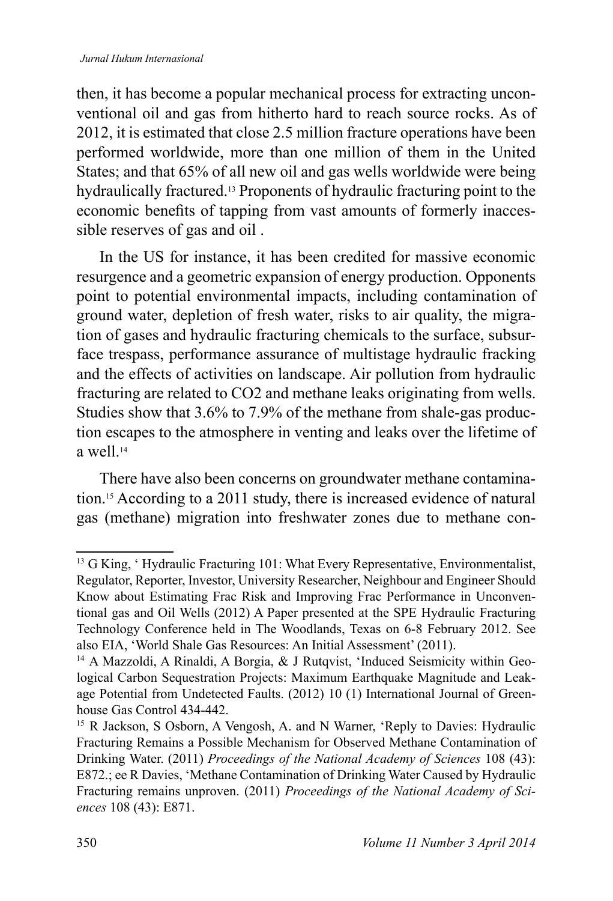then, it has become a popular mechanical process for extracting unconventional oil and gas from hitherto hard to reach source rocks. As of 2012, it is estimated that close 2.5 million fracture operations have been performed worldwide, more than one million of them in the United States; and that 65% of all new oil and gas wells worldwide were being hydraulically fractured.13 Proponents of hydraulic fracturing point to the economic benefits of tapping from vast amounts of formerly inaccessible reserves of gas and oil .

In the US for instance, it has been credited for massive economic resurgence and a geometric expansion of energy production. Opponents point to potential environmental impacts, including contamination of ground water, depletion of fresh water, risks to air quality, the migration of gases and hydraulic fracturing chemicals to the surface, subsurface trespass, performance assurance of multistage hydraulic fracking and the effects of activities on landscape. Air pollution from hydraulic fracturing are related to CO2 and methane leaks originating from wells. Studies show that 3.6% to 7.9% of the methane from shale-gas production escapes to the atmosphere in venting and leaks over the lifetime of a well <sup>14</sup>

There have also been concerns on groundwater methane contamination.15 According to a 2011 study, there is increased evidence of natural gas (methane) migration into freshwater zones due to methane con-

<sup>&</sup>lt;sup>13</sup> G King, 'Hydraulic Fracturing 101: What Every Representative, Environmentalist, Regulator, Reporter, Investor, University Researcher, Neighbour and Engineer Should Know about Estimating Frac Risk and Improving Frac Performance in Unconventional gas and Oil Wells (2012) A Paper presented at the SPE Hydraulic Fracturing Technology Conference held in The Woodlands, Texas on 6-8 February 2012. See also EIA, 'World Shale Gas Resources: An Initial Assessment' (2011).

<sup>&</sup>lt;sup>14</sup> A Mazzoldi, A Rinaldi, A Borgia, & J Rutqvist, 'Induced Seismicity within Geological Carbon Sequestration Projects: Maximum Earthquake Magnitude and Leakage Potential from Undetected Faults. (2012) 10 (1) International Journal of Greenhouse Gas Control 434-442.

<sup>&</sup>lt;sup>15</sup> R Jackson, S Osborn, A Vengosh, A. and N Warner, 'Reply to Davies: Hydraulic Fracturing Remains a Possible Mechanism for Observed Methane Contamination of Drinking Water. (2011) *Proceedings of the National Academy of Sciences* 108 (43): E872.; ee R Davies, 'Methane Contamination of Drinking Water Caused by Hydraulic Fracturing remains unproven. (2011) *Proceedings of the National Academy of Sciences* 108 (43): E871.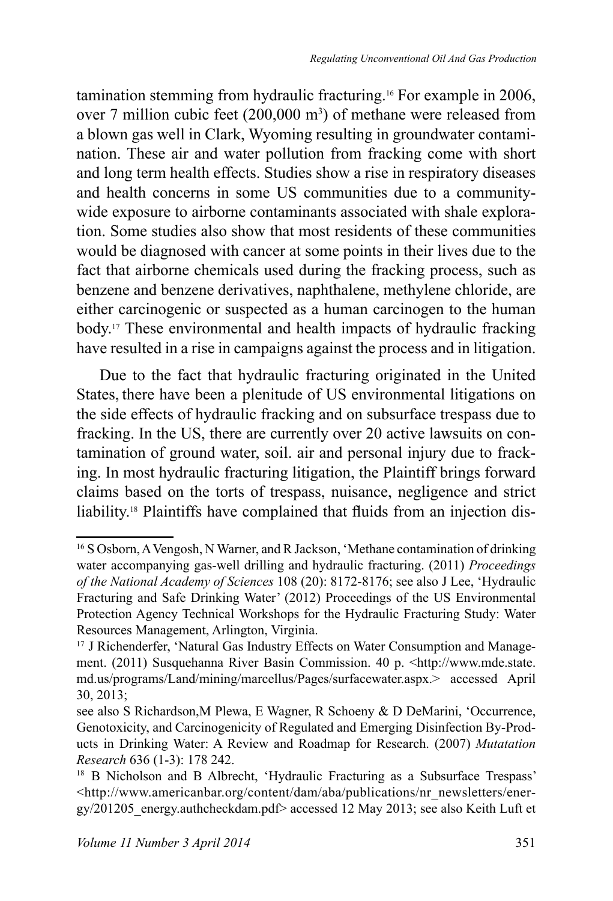tamination stemming from hydraulic fracturing.16 For example in 2006, over 7 million cubic feet  $(200,000 \text{ m}^3)$  of methane were released from a blown gas well in Clark, Wyoming resulting in groundwater contamination. These air and water pollution from fracking come with short and long term health effects. Studies show a rise in respiratory diseases and health concerns in some US communities due to a communitywide exposure to airborne contaminants associated with shale exploration. Some studies also show that most residents of these communities would be diagnosed with cancer at some points in their lives due to the fact that airborne chemicals used during the fracking process, such as benzene and benzene derivatives, naphthalene, methylene chloride, are either carcinogenic or suspected as a human carcinogen to the human body.17 These environmental and health impacts of hydraulic fracking have resulted in a rise in campaigns against the process and in litigation.

Due to the fact that hydraulic fracturing originated in the United States, there have been a plenitude of US environmental litigations on the side effects of hydraulic fracking and on subsurface trespass due to fracking. In the US, there are currently over 20 active lawsuits on contamination of ground water, soil. air and personal injury due to fracking. In most hydraulic fracturing litigation, the Plaintiff brings forward claims based on the torts of trespass, nuisance, negligence and strict liability.<sup>18</sup> Plaintiffs have complained that fluids from an injection dis-

<sup>&</sup>lt;sup>16</sup> S Osborn, A Vengosh, N Warner, and R Jackson, 'Methane contamination of drinking water accompanying gas-well drilling and hydraulic fracturing. (2011) *Proceedings of the National Academy of Sciences* 108 (20): 8172-8176; see also J Lee, 'Hydraulic Fracturing and Safe Drinking Water' (2012) Proceedings of the US Environmental Protection Agency Technical Workshops for the Hydraulic Fracturing Study: Water Resources Management, Arlington, Virginia.

<sup>&</sup>lt;sup>17</sup> J Richenderfer, 'Natural Gas Industry Effects on Water Consumption and Management. (2011) Susquehanna River Basin Commission. 40 p. <http://www.mde.state. md.us/programs/Land/mining/marcellus/Pages/surfacewater.aspx.> accessed April 30, 2013;

see also S Richardson,M Plewa, E Wagner, R Schoeny & D DeMarini, 'Occurrence, Genotoxicity, and Carcinogenicity of Regulated and Emerging Disinfection By-Products in Drinking Water: A Review and Roadmap for Research. (2007) *Mutatation Research* 636 (1-3): 178 242.

<sup>&</sup>lt;sup>18</sup> B Nicholson and B Albrecht, 'Hydraulic Fracturing as a Subsurface Trespass' <http://www.americanbar.org/content/dam/aba/publications/nr\_newsletters/energy/201205\_energy.authcheckdam.pdf> accessed 12 May 2013; see also Keith Luft et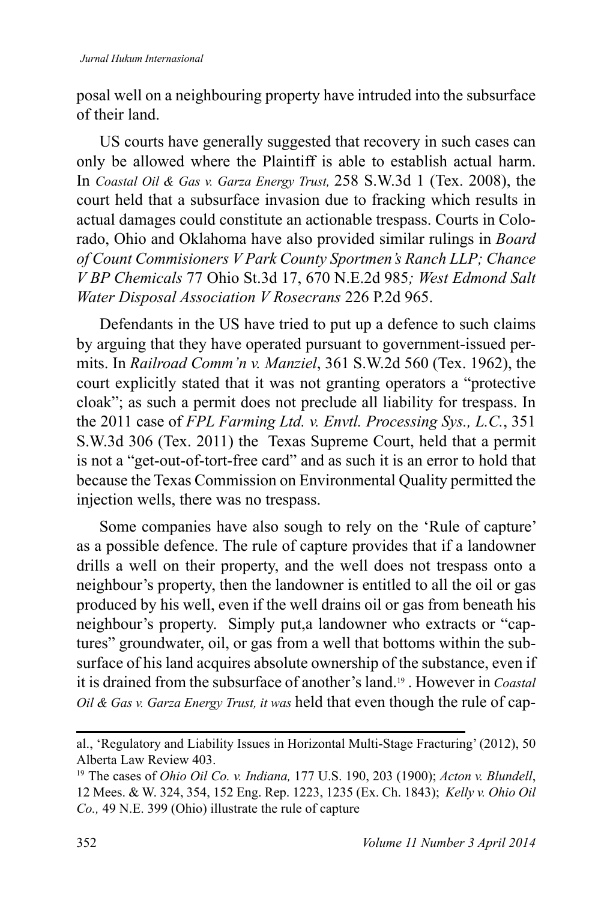posal well on a neighbouring property have intruded into the subsurface of their land.

US courts have generally suggested that recovery in such cases can only be allowed where the Plaintiff is able to establish actual harm. In *Coastal Oil & Gas v. Garza Energy Trust,* 258 S.W.3d 1 (Tex. 2008), the court held that a subsurface invasion due to fracking which results in actual damages could constitute an actionable trespass. Courts in Colorado, Ohio and Oklahoma have also provided similar rulings in *Board of Count Commisioners V Park County Sportmen's Ranch LLP; Chance V BP Chemicals* 77 Ohio St.3d 17, 670 N.E.2d 985*; West Edmond Salt Water Disposal Association V Rosecrans* 226 P.2d 965.

Defendants in the US have tried to put up a defence to such claims by arguing that they have operated pursuant to government-issued permits. In *Railroad Comm'n v. Manziel*, 361 S.W.2d 560 (Tex. 1962), the court explicitly stated that it was not granting operators a "protective cloak"; as such a permit does not preclude all liability for trespass. In the 2011 case of *FPL Farming Ltd. v. Envtl. Processing Sys., L.C.*, 351 S.W.3d 306 (Tex. 2011) the Texas Supreme Court, held that a permit is not a "get-out-of-tort-free card" and as such it is an error to hold that because the Texas Commission on Environmental Quality permitted the injection wells, there was no trespass.

Some companies have also sough to rely on the 'Rule of capture' as a possible defence. The rule of capture provides that if a landowner drills a well on their property, and the well does not trespass onto a neighbour's property, then the landowner is entitled to all the oil or gas produced by his well, even if the well drains oil or gas from beneath his neighbour's property. Simply put,a landowner who extracts or "captures" groundwater, oil, or gas from a well that bottoms within the subsurface of his land acquires absolute ownership of the substance, even if it is drained from the subsurface of another's land.19 . However in *Coastal Oil & Gas v. Garza Energy Trust, it was* held that even though the rule of cap-

al., 'Regulatory and Liability Issues in Horizontal Multi-Stage Fracturing' (2012), 50 Alberta Law Review 403.

<sup>19</sup>The cases of *Ohio Oil Co. v. Indiana,* 177 U.S. 190, 203 (1900); *Acton v. Blundell*, 12 Mees. & W. 324, 354, 152 Eng. Rep. 1223, 1235 (Ex. Ch. 1843); *Kelly v. Ohio Oil Co.,* 49 N.E. 399 (Ohio) illustrate the rule of capture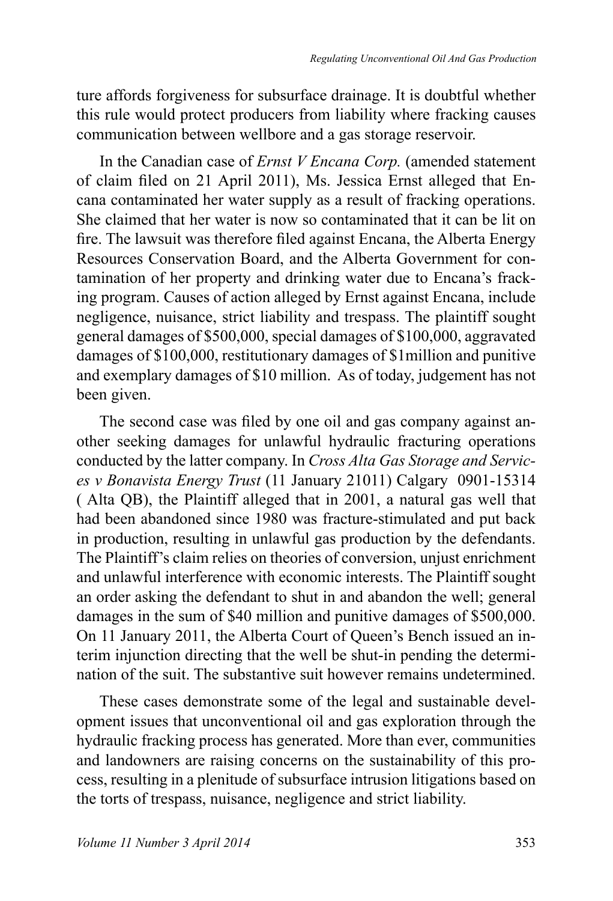ture affords forgiveness for subsurface drainage. It is doubtful whether this rule would protect producers from liability where fracking causes communication between wellbore and a gas storage reservoir.

In the Canadian case of *Ernst V Encana Corp.* (amended statement of claim filed on 21 April 2011), Ms. Jessica Ernst alleged that Encana contaminated her water supply as a result of fracking operations. She claimed that her water is now so contaminated that it can be lit on fire. The lawsuit was therefore filed against Encana, the Alberta Energy Resources Conservation Board, and the Alberta Government for contamination of her property and drinking water due to Encana's fracking program. Causes of action alleged by Ernst against Encana, include negligence, nuisance, strict liability and trespass. The plaintiff sought general damages of \$500,000, special damages of \$100,000, aggravated damages of \$100,000, restitutionary damages of \$1million and punitive and exemplary damages of \$10 million. As of today, judgement has not been given.

The second case was filed by one oil and gas company against another seeking damages for unlawful hydraulic fracturing operations conducted by the latter company. In *Cross Alta Gas Storage and Services v Bonavista Energy Trust* (11 January 21011) Calgary 0901-15314 ( Alta QB), the Plaintiff alleged that in 2001, a natural gas well that had been abandoned since 1980 was fracture-stimulated and put back in production, resulting in unlawful gas production by the defendants. The Plaintiff's claim relies on theories of conversion, unjust enrichment and unlawful interference with economic interests. The Plaintiff sought an order asking the defendant to shut in and abandon the well; general damages in the sum of \$40 million and punitive damages of \$500,000. On 11 January 2011, the Alberta Court of Queen's Bench issued an interim injunction directing that the well be shut-in pending the determination of the suit. The substantive suit however remains undetermined.

These cases demonstrate some of the legal and sustainable development issues that unconventional oil and gas exploration through the hydraulic fracking process has generated. More than ever, communities and landowners are raising concerns on the sustainability of this process, resulting in a plenitude of subsurface intrusion litigations based on the torts of trespass, nuisance, negligence and strict liability.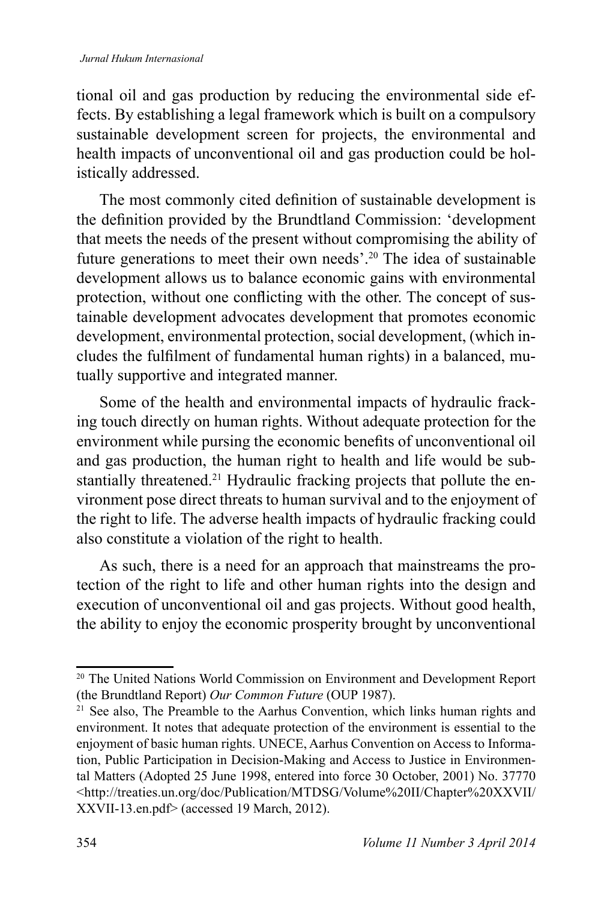tional oil and gas production by reducing the environmental side effects. By establishing a legal framework which is built on a compulsory sustainable development screen for projects, the environmental and health impacts of unconventional oil and gas production could be holistically addressed.

The most commonly cited definition of sustainable development is the definition provided by the Brundtland Commission: 'development that meets the needs of the present without compromising the ability of future generations to meet their own needs'.<sup>20</sup> The idea of sustainable development allows us to balance economic gains with environmental protection, without one conflicting with the other. The concept of sustainable development advocates development that promotes economic development, environmental protection, social development, (which includes the fulfilment of fundamental human rights) in a balanced, mutually supportive and integrated manner.

Some of the health and environmental impacts of hydraulic fracking touch directly on human rights. Without adequate protection for the environment while pursing the economic benefits of unconventional oil and gas production, the human right to health and life would be substantially threatened.<sup>21</sup> Hydraulic fracking projects that pollute the environment pose direct threats to human survival and to the enjoyment of the right to life. The adverse health impacts of hydraulic fracking could also constitute a violation of the right to health.

As such, there is a need for an approach that mainstreams the protection of the right to life and other human rights into the design and execution of unconventional oil and gas projects. Without good health, the ability to enjoy the economic prosperity brought by unconventional

<sup>&</sup>lt;sup>20</sup> The United Nations World Commission on Environment and Development Report (the Brundtland Report) *Our Common Future* (OUP 1987).

 $21$  See also, The Preamble to the Aarhus Convention, which links human rights and environment. It notes that adequate protection of the environment is essential to the enjoyment of basic human rights. UNECE, Aarhus Convention on Access to Information, Public Participation in Decision-Making and Access to Justice in Environmental Matters (Adopted 25 June 1998, entered into force 30 October, 2001) No. 37770 <http://treaties.un.org/doc/Publication/MTDSG/Volume%20II/Chapter%20XXVII/ XXVII-13.en.pdf> (accessed 19 March, 2012).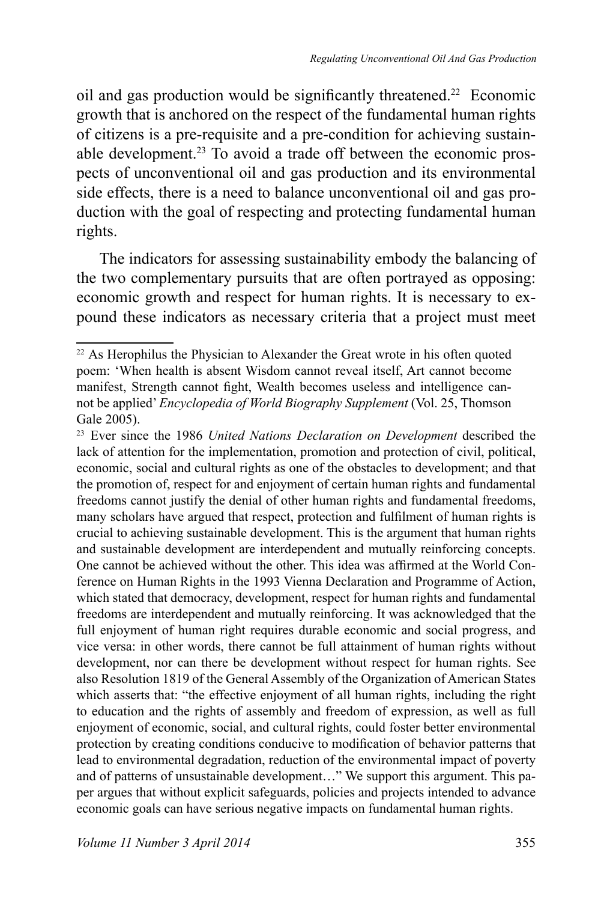oil and gas production would be significantly threatened.<sup>22</sup> Economic growth that is anchored on the respect of the fundamental human rights of citizens is a pre-requisite and a pre-condition for achieving sustainable development.<sup>23</sup> To avoid a trade off between the economic prospects of unconventional oil and gas production and its environmental side effects, there is a need to balance unconventional oil and gas production with the goal of respecting and protecting fundamental human rights.

The indicators for assessing sustainability embody the balancing of the two complementary pursuits that are often portrayed as opposing: economic growth and respect for human rights. It is necessary to expound these indicators as necessary criteria that a project must meet

<sup>&</sup>lt;sup>22</sup> As Herophilus the Physician to Alexander the Great wrote in his often quoted poem: 'When health is absent Wisdom cannot reveal itself, Art cannot become manifest, Strength cannot fight, Wealth becomes useless and intelligence cannot be applied' *Encyclopedia of World Biography Supplement* (Vol. 25, Thomson Gale 2005).

<sup>&</sup>lt;sup>23</sup> Ever since the 1986 *United Nations Declaration on Development* described the lack of attention for the implementation, promotion and protection of civil, political, economic, social and cultural rights as one of the obstacles to development; and that the promotion of, respect for and enjoyment of certain human rights and fundamental freedoms cannot justify the denial of other human rights and fundamental freedoms, many scholars have argued that respect, protection and fulfilment of human rights is crucial to achieving sustainable development. This is the argument that human rights and sustainable development are interdependent and mutually reinforcing concepts. One cannot be achieved without the other. This idea was affirmed at the World Conference on Human Rights in the 1993 Vienna Declaration and Programme of Action, which stated that democracy, development, respect for human rights and fundamental freedoms are interdependent and mutually reinforcing. It was acknowledged that the full enjoyment of human right requires durable economic and social progress, and vice versa: in other words, there cannot be full attainment of human rights without development, nor can there be development without respect for human rights. See also Resolution 1819 of the General Assembly of the Organization of American States which asserts that: "the effective enjoyment of all human rights, including the right to education and the rights of assembly and freedom of expression, as well as full enjoyment of economic, social, and cultural rights, could foster better environmental protection by creating conditions conducive to modification of behavior patterns that lead to environmental degradation, reduction of the environmental impact of poverty and of patterns of unsustainable development…" We support this argument. This paper argues that without explicit safeguards, policies and projects intended to advance economic goals can have serious negative impacts on fundamental human rights.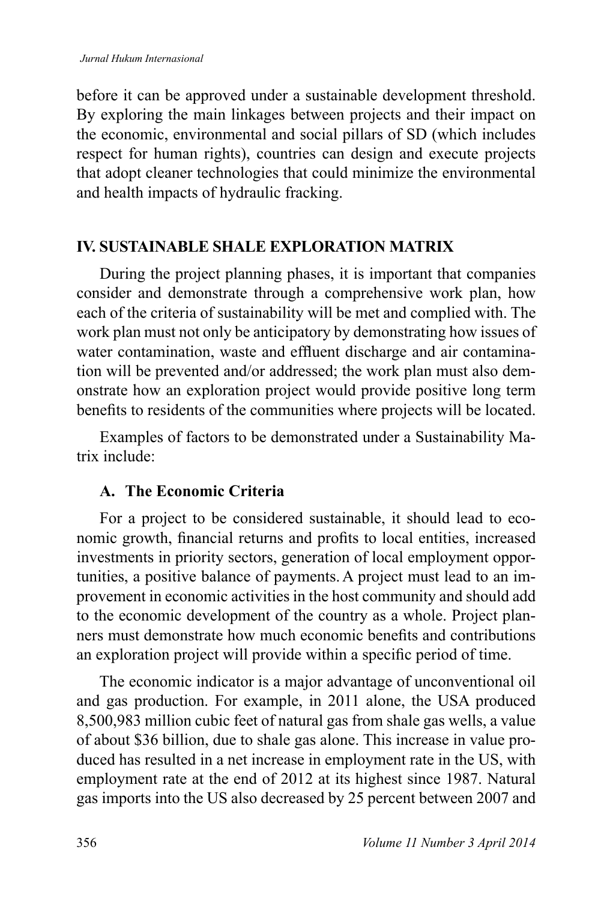before it can be approved under a sustainable development threshold. By exploring the main linkages between projects and their impact on the economic, environmental and social pillars of SD (which includes respect for human rights), countries can design and execute projects that adopt cleaner technologies that could minimize the environmental and health impacts of hydraulic fracking.

#### **IV. SUSTAINABLE SHALE EXPLORATION MATRIX**

During the project planning phases, it is important that companies consider and demonstrate through a comprehensive work plan, how each of the criteria of sustainability will be met and complied with. The work plan must not only be anticipatory by demonstrating how issues of water contamination, waste and effluent discharge and air contamination will be prevented and/or addressed; the work plan must also demonstrate how an exploration project would provide positive long term benefits to residents of the communities where projects will be located.

Examples of factors to be demonstrated under a Sustainability Matrix include:

#### **A. The Economic Criteria**

For a project to be considered sustainable, it should lead to economic growth, financial returns and profits to local entities, increased investments in priority sectors, generation of local employment opportunities, a positive balance of payments.A project must lead to an improvement in economic activities in the host community and should add to the economic development of the country as a whole. Project planners must demonstrate how much economic benefits and contributions an exploration project will provide within a specific period of time.

The economic indicator is a major advantage of unconventional oil and gas production. For example, in 2011 alone, the USA produced 8,500,983 million cubic feet of natural gas from shale gas wells, a value of about \$36 billion, due to shale gas alone. This increase in value produced has resulted in a net increase in employment rate in the US, with employment rate at the end of 2012 at its highest since 1987. Natural gas imports into the US also decreased by 25 percent between 2007 and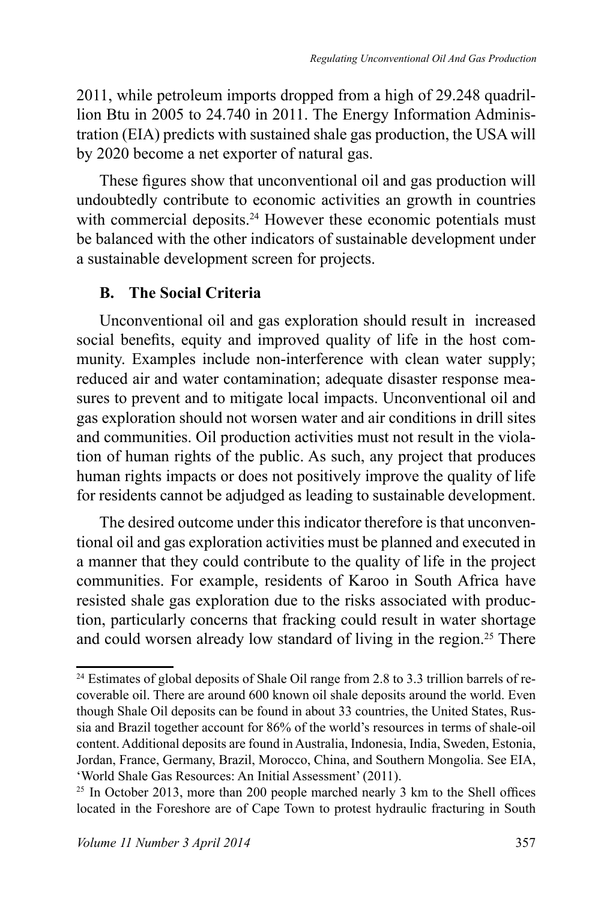2011, while petroleum imports dropped from a high of 29.248 quadrillion Btu in 2005 to 24.740 in 2011. The Energy Information Administration (EIA) predicts with sustained shale gas production, the USA will by 2020 become a net exporter of natural gas.

These figures show that unconventional oil and gas production will undoubtedly contribute to economic activities an growth in countries with commercial deposits.<sup>24</sup> However these economic potentials must be balanced with the other indicators of sustainable development under a sustainable development screen for projects.

# **B. The Social Criteria**

Unconventional oil and gas exploration should result in increased social benefits, equity and improved quality of life in the host community. Examples include non-interference with clean water supply; reduced air and water contamination; adequate disaster response measures to prevent and to mitigate local impacts. Unconventional oil and gas exploration should not worsen water and air conditions in drill sites and communities. Oil production activities must not result in the violation of human rights of the public. As such, any project that produces human rights impacts or does not positively improve the quality of life for residents cannot be adjudged as leading to sustainable development.

The desired outcome under this indicator therefore is that unconventional oil and gas exploration activities must be planned and executed in a manner that they could contribute to the quality of life in the project communities. For example, residents of Karoo in South Africa have resisted shale gas exploration due to the risks associated with production, particularly concerns that fracking could result in water shortage and could worsen already low standard of living in the region.<sup>25</sup> There

<sup>&</sup>lt;sup>24</sup> Estimates of global deposits of Shale Oil range from 2.8 to 3.3 trillion barrels of recoverable oil. There are around 600 known oil shale deposits around the world. Even though Shale Oil deposits can be found in about 33 countries, the United States, Russia and Brazil together account for 86% of the world's resources in terms of shale-oil content. Additional deposits are found in Australia, Indonesia, India, Sweden, Estonia, Jordan, France, Germany, Brazil, Morocco, China, and Southern Mongolia. See EIA, 'World Shale Gas Resources: An Initial Assessment' (2011).

<sup>&</sup>lt;sup>25</sup> In October 2013, more than 200 people marched nearly 3 km to the Shell offices located in the Foreshore are of Cape Town to protest hydraulic fracturing in South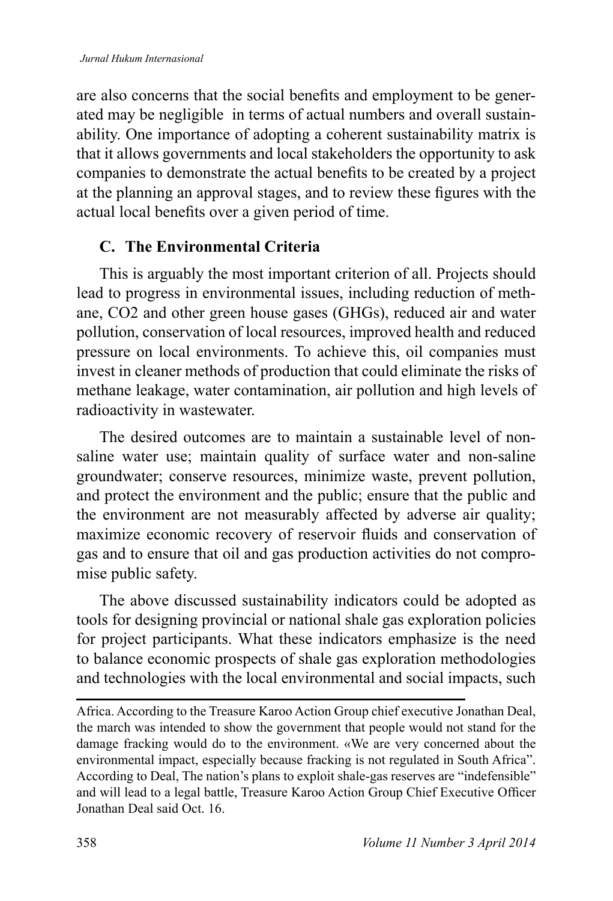are also concerns that the social benefits and employment to be generated may be negligible in terms of actual numbers and overall sustainability. One importance of adopting a coherent sustainability matrix is that it allows governments and local stakeholders the opportunity to ask companies to demonstrate the actual benefits to be created by a project at the planning an approval stages, and to review these figures with the actual local benefits over a given period of time.

#### **C. The Environmental Criteria**

This is arguably the most important criterion of all. Projects should lead to progress in environmental issues, including reduction of methane, CO2 and other green house gases (GHGs), reduced air and water pollution, conservation of local resources, improved health and reduced pressure on local environments. To achieve this, oil companies must invest in cleaner methods of production that could eliminate the risks of methane leakage, water contamination, air pollution and high levels of radioactivity in wastewater.

The desired outcomes are to maintain a sustainable level of nonsaline water use; maintain quality of surface water and non-saline groundwater; conserve resources, minimize waste, prevent pollution, and protect the environment and the public; ensure that the public and the environment are not measurably affected by adverse air quality; maximize economic recovery of reservoir fluids and conservation of gas and to ensure that oil and gas production activities do not compromise public safety.

The above discussed sustainability indicators could be adopted as tools for designing provincial or national shale gas exploration policies for project participants. What these indicators emphasize is the need to balance economic prospects of shale gas exploration methodologies and technologies with the local environmental and social impacts, such

Africa. According to the Treasure Karoo Action Group chief executive Jonathan Deal, the march was intended to show the government that people would not stand for the damage fracking would do to the environment. «We are very concerned about the environmental impact, especially because fracking is not regulated in South Africa". According to Deal, The nation's plans to exploit shale-gas reserves are "indefensible" and will lead to a legal battle, Treasure Karoo Action Group Chief Executive Officer Jonathan Deal said Oct. 16.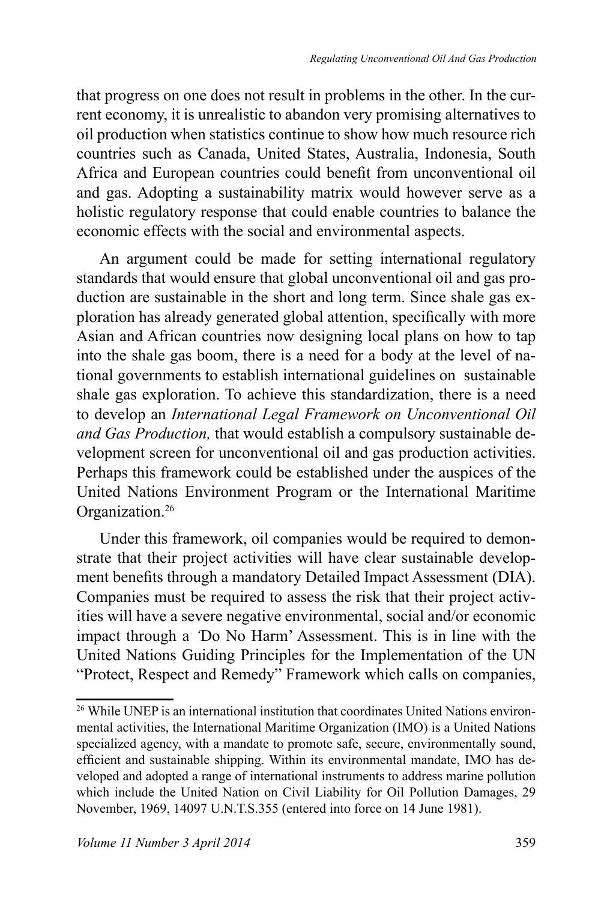that progress on one does not result in problems in the other. In the current economy, it is unrealistic to abandon very promising alternatives to oil production when statistics continue to show how much resource rich countries such as Canada, United States, Australia, Indonesia, South Africa and European countries could benefit from unconventional oil and gas. Adopting a sustainability matrix would however serve as a holistic regulatory response that could enable countries to balance the economic effects with the social and environmental aspects.

An argument could be made for setting international regulatory standards that would ensure that global unconventional oil and gas production are sustainable in the short and long term. Since shale gas exploration has already generated global attention, specifically with more Asian and African countries now designing local plans on how to tap into the shale gas boom, there is a need for a body at the level of national governments to establish international guidelines on sustainable shale gas exploration. To achieve this standardization, there is a need to develop an *International Legal Framework on Unconventional Oil and Gas Production,* that would establish a compulsory sustainable development screen for unconventional oil and gas production activities. Perhaps this framework could be established under the auspices of the United Nations Environment Program or the International Maritime Organization.<sup>26</sup>

Under this framework, oil companies would be required to demonstrate that their project activities will have clear sustainable development benefits through a mandatory Detailed Impact Assessment (DIA). Companies must be required to assess the risk that their project activities will have a severe negative environmental, social and/or economic impact through a *'*Do No Harm' Assessment. This is in line with the United Nations Guiding Principles for the Implementation of the UN "Protect, Respect and Remedy" Framework which calls on companies,

<sup>&</sup>lt;sup>26</sup> While UNEP is an international institution that coordinates United Nations environmental activities, the International Maritime Organization (IMO) is a United Nations specialized agency, with a mandate to promote safe, secure, environmentally sound, efficient and sustainable shipping. Within its environmental mandate, IMO has developed and adopted a range of international instruments to address marine pollution which include the United Nation on Civil Liability for Oil Pollution Damages, 29 November, 1969, 14097 U.N.T.S.355 (entered into force on 14 June 1981).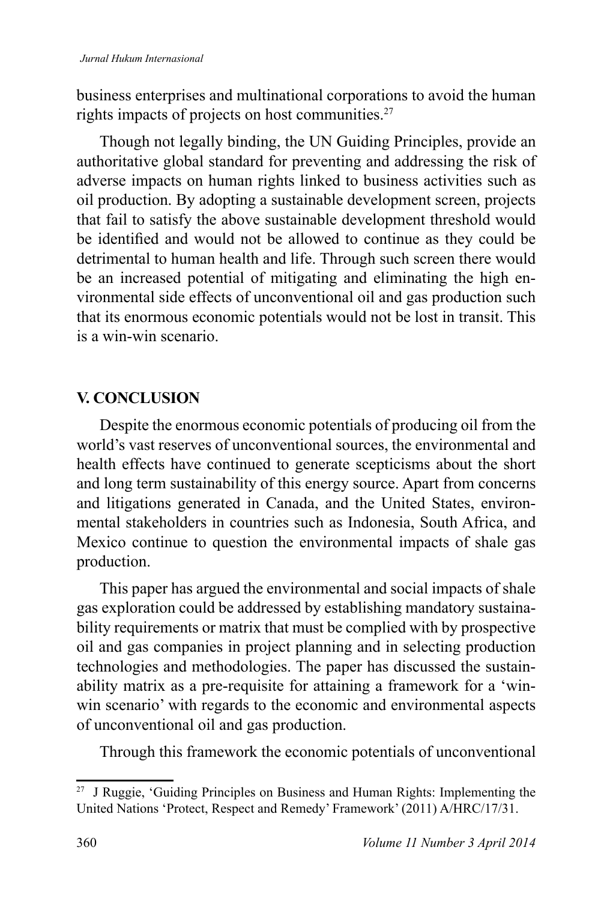business enterprises and multinational corporations to avoid the human rights impacts of projects on host communities.<sup>27</sup>

Though not legally binding, the UN Guiding Principles, provide an authoritative global standard for preventing and addressing the risk of adverse impacts on human rights linked to business activities such as oil production. By adopting a sustainable development screen, projects that fail to satisfy the above sustainable development threshold would be identified and would not be allowed to continue as they could be detrimental to human health and life. Through such screen there would be an increased potential of mitigating and eliminating the high environmental side effects of unconventional oil and gas production such that its enormous economic potentials would not be lost in transit. This is a win-win scenario.

## **V. CONCLUSION**

Despite the enormous economic potentials of producing oil from the world's vast reserves of unconventional sources, the environmental and health effects have continued to generate scepticisms about the short and long term sustainability of this energy source. Apart from concerns and litigations generated in Canada, and the United States, environmental stakeholders in countries such as Indonesia, South Africa, and Mexico continue to question the environmental impacts of shale gas production.

This paper has argued the environmental and social impacts of shale gas exploration could be addressed by establishing mandatory sustainability requirements or matrix that must be complied with by prospective oil and gas companies in project planning and in selecting production technologies and methodologies. The paper has discussed the sustainability matrix as a pre-requisite for attaining a framework for a 'winwin scenario' with regards to the economic and environmental aspects of unconventional oil and gas production.

Through this framework the economic potentials of unconventional

<sup>&</sup>lt;sup>27</sup> J Ruggie, 'Guiding Principles on Business and Human Rights: Implementing the United Nations 'Protect, Respect and Remedy' Framework' (2011) A/HRC/17/31.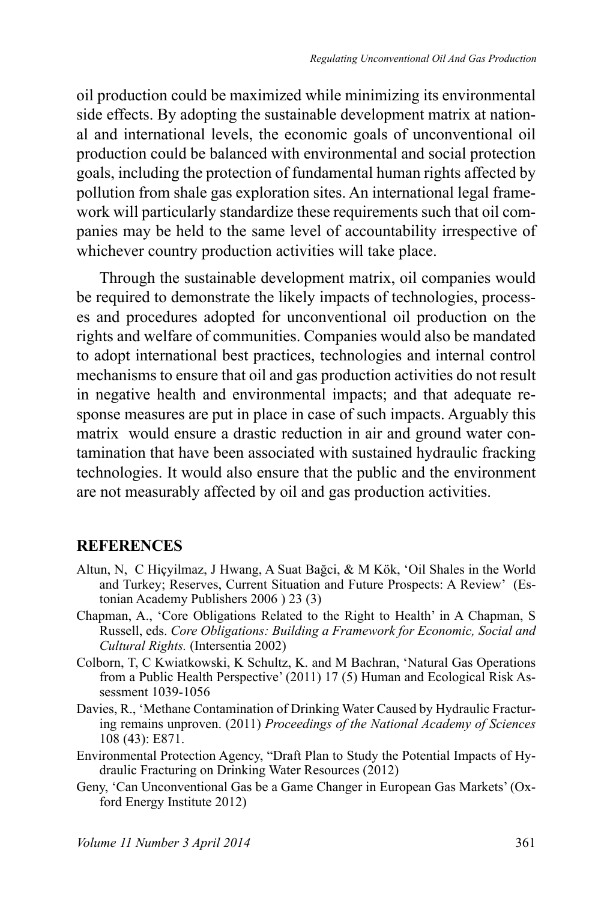oil production could be maximized while minimizing its environmental side effects. By adopting the sustainable development matrix at national and international levels, the economic goals of unconventional oil production could be balanced with environmental and social protection goals, including the protection of fundamental human rights affected by pollution from shale gas exploration sites. An international legal framework will particularly standardize these requirements such that oil companies may be held to the same level of accountability irrespective of whichever country production activities will take place.

Through the sustainable development matrix, oil companies would be required to demonstrate the likely impacts of technologies, processes and procedures adopted for unconventional oil production on the rights and welfare of communities. Companies would also be mandated to adopt international best practices, technologies and internal control mechanisms to ensure that oil and gas production activities do not result in negative health and environmental impacts; and that adequate response measures are put in place in case of such impacts. Arguably this matrix would ensure a drastic reduction in air and ground water contamination that have been associated with sustained hydraulic fracking technologies. It would also ensure that the public and the environment are not measurably affected by oil and gas production activities.

#### **REFERENCES**

- Altun, N. C Hiçyilmaz, J Hwang, A Suat Bağci, & M Kök, 'Oil Shales in the World and Turkey; Reserves, Current Situation and Future Prospects: A Review' (Estonian Academy Publishers 2006 ) 23 (3)
- Chapman, A., 'Core Obligations Related to the Right to Health' in A Chapman, S Russell, eds. *Core Obligations: Building a Framework for Economic, Social and Cultural Rights.* (Intersentia 2002)
- Colborn, T, C Kwiatkowski, K Schultz, K. and M Bachran, 'Natural Gas Operations from a Public Health Perspective' (2011) 17 (5) Human and Ecological Risk Assessment 1039-1056
- Davies, R., 'Methane Contamination of Drinking Water Caused by Hydraulic Fracturing remains unproven. (2011) *Proceedings of the National Academy of Sciences*  108 (43): E871.
- Environmental Protection Agency, "Draft Plan to Study the Potential Impacts of Hydraulic Fracturing on Drinking Water Resources (2012)
- Geny, 'Can Unconventional Gas be a Game Changer in European Gas Markets' (Oxford Energy Institute 2012)